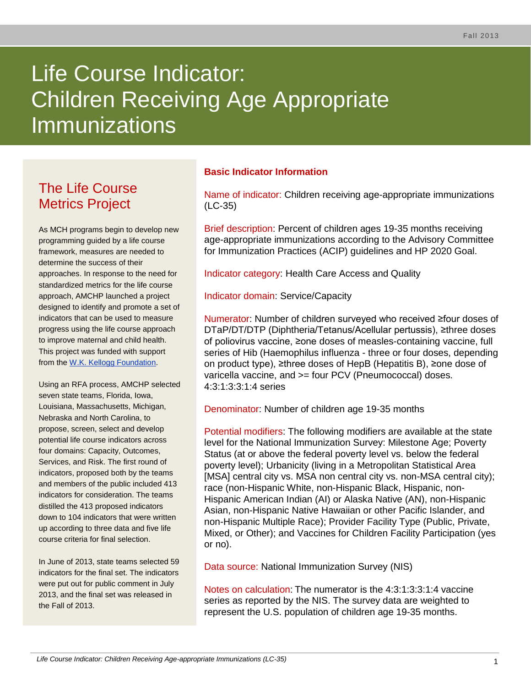# Life Course Indicator: Children Receiving Age Appropriate **Immunizations**

# The Life Course Metrics Project

As MCH programs begin to develop new programming guided by a life course framework, measures are needed to determine the success of their approaches. In response to the need for standardized metrics for the life course approach, AMCHP launched a project designed to identify and promote a set of indicators that can be used to measure progress using the life course approach to improve maternal and child health. This project was funded with support from the [W.K. Kellogg Foundation.](http://www.wkkf.org/)

Using an RFA process, AMCHP selected seven state teams, Florida, Iowa, Louisiana, Massachusetts, Michigan, Nebraska and North Carolina, to propose, screen, select and develop potential life course indicators across four domains: Capacity, Outcomes, Services, and Risk. The first round of indicators, proposed both by the teams and members of the public included 413 indicators for consideration. The teams distilled the 413 proposed indicators down to 104 indicators that were written up according to three data and five life course criteria for final selection.

In June of 2013, state teams selected 59 indicators for the final set. The indicators were put out for public comment in July 2013, and the final set was released in the Fall of 2013.

# **Basic Indicator Information**

Name of indicator: Children receiving age-appropriate immunizations (LC-35)

Brief description: Percent of children ages 19-35 months receiving age-appropriate immunizations according to the Advisory Committee for Immunization Practices (ACIP) guidelines and HP 2020 Goal.

Indicator category: Health Care Access and Quality

Indicator domain: Service/Capacity

Numerator: Number of children surveyed who received ≥four doses of DTaP/DT/DTP (Diphtheria/Tetanus/Acellular pertussis), ≥three doses of poliovirus vaccine, ≥one doses of measles-containing vaccine, full series of Hib (Haemophilus influenza - three or four doses, depending on product type), ≥three doses of HepB (Hepatitis B), ≥one dose of varicella vaccine, and >= four PCV (Pneumococcal) doses. 4:3:1:3:3:1:4 series

Denominator: Number of children age 19-35 months

Potential modifiers: The following modifiers are available at the state level for the National Immunization Survey: Milestone Age; Poverty Status (at or above the federal poverty level vs. below the federal poverty level); Urbanicity (living in a Metropolitan Statistical Area [MSA] central city vs. MSA non central city vs. non-MSA central city); race (non-Hispanic White, non-Hispanic Black, Hispanic, non-Hispanic American Indian (AI) or Alaska Native (AN), non-Hispanic Asian, non-Hispanic Native Hawaiian or other Pacific Islander, and non-Hispanic Multiple Race); Provider Facility Type (Public, Private, Mixed, or Other); and Vaccines for Children Facility Participation (yes or no).

Data source: National Immunization Survey (NIS)

Notes on calculation: The numerator is the 4:3:1:3:3:1:4 vaccine series as reported by the NIS. The survey data are weighted to represent the U.S. population of children age 19-35 months.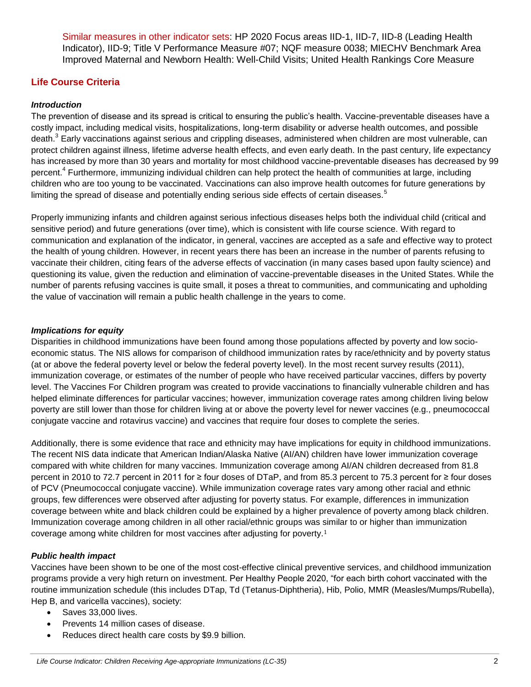Similar measures in other indicator sets: HP 2020 Focus areas IID-1, IID-7, IID-8 (Leading Health Indicator), IID-9; Title V Performance Measure #07; NQF measure 0038; MIECHV Benchmark Area Improved Maternal and Newborn Health: Well-Child Visits; United Health Rankings Core Measure

# **Life Course Criteria**

## *Introduction*

The prevention of disease and its spread is critical to ensuring the public's health. Vaccine-preventable diseases have a costly impact, including medical visits, hospitalizations, long-term disability or adverse health outcomes, and possible death.<sup>3</sup> Early vaccinations against serious and crippling diseases, administered when children are most vulnerable, can protect children against illness, lifetime adverse health effects, and even early death. In the past century, life expectancy has increased by more than 30 years and mortality for most childhood vaccine-preventable diseases has decreased by 99 percent.<sup>4</sup> Furthermore, immunizing individual children can help protect the health of communities at large, including children who are too young to be vaccinated. Vaccinations can also improve health outcomes for future generations by limiting the spread of disease and potentially ending serious side effects of certain diseases.<sup>5</sup>

Properly immunizing infants and children against serious infectious diseases helps both the individual child (critical and sensitive period) and future generations (over time), which is consistent with life course science. With regard to communication and explanation of the indicator, in general, vaccines are accepted as a safe and effective way to protect the health of young children. However, in recent years there has been an increase in the number of parents refusing to vaccinate their children, citing fears of the adverse effects of vaccination (in many cases based upon faulty science) and questioning its value, given the reduction and elimination of vaccine-preventable diseases in the United States. While the number of parents refusing vaccines is quite small, it poses a threat to communities, and communicating and upholding the value of vaccination will remain a public health challenge in the years to come.

#### *Implications for equity*

Disparities in childhood immunizations have been found among those populations affected by poverty and low socioeconomic status. The NIS allows for comparison of childhood immunization rates by race/ethnicity and by poverty status (at or above the federal poverty level or below the federal poverty level). In the most recent survey results (2011), immunization coverage, or estimates of the number of people who have received particular vaccines, differs by poverty level. The Vaccines For Children program was created to provide vaccinations to financially vulnerable children and has helped eliminate differences for particular vaccines; however, immunization coverage rates among children living below poverty are still lower than those for children living at or above the poverty level for newer vaccines (e.g., pneumococcal conjugate vaccine and rotavirus vaccine) and vaccines that require four doses to complete the series.

Additionally, there is some evidence that race and ethnicity may have implications for equity in childhood immunizations. The recent NIS data indicate that American Indian/Alaska Native (AI/AN) children have lower immunization coverage compared with white children for many vaccines. Immunization coverage among AI/AN children decreased from 81.8 percent in 2010 to 72.7 percent in 2011 for ≥ four doses of DTaP, and from 85.3 percent to 75.3 percent for ≥ four doses of PCV (Pneumococcal conjugate vaccine). While immunization coverage rates vary among other racial and ethnic groups, few differences were observed after adjusting for poverty status. For example, differences in immunization coverage between white and black children could be explained by a higher prevalence of poverty among black children. Immunization coverage among children in all other racial/ethnic groups was similar to or higher than immunization coverage among white children for most vaccines after adjusting for poverty.[1](#page-3-0)

#### *Public health impact*

Vaccines have been shown to be one of the most cost-effective clinical preventive services, and childhood immunization programs provide a very high return on investment. Per Healthy People 2020, "for each birth cohort vaccinated with the routine immunization schedule (this includes DTap, Td (Tetanus-Diphtheria), Hib, Polio, MMR (Measles/Mumps/Rubella), Hep B, and varicella vaccines), society:

- Saves 33,000 lives.
- Prevents 14 million cases of disease.
- Reduces direct health care costs by \$9.9 billion.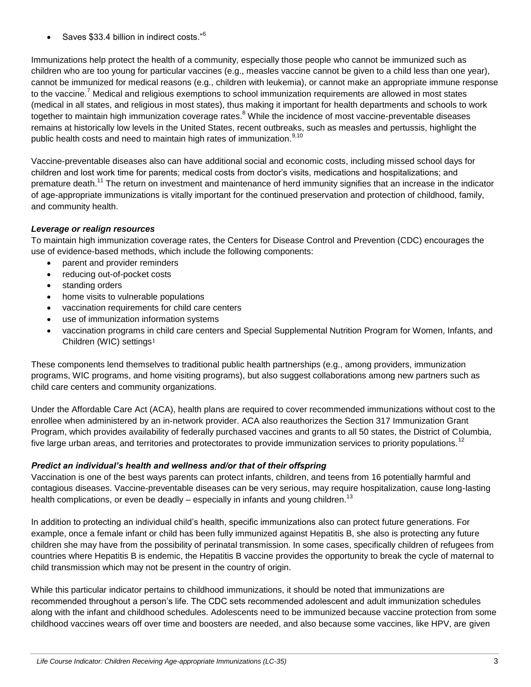Saves \$33.4 billion in indirect costs."<sup>6</sup>

Immunizations help protect the health of a community, especially those people who cannot be immunized such as children who are too young for particular vaccines (e.g., measles vaccine cannot be given to a child less than one year), cannot be immunized for medical reasons (e.g., children with leukemia), or cannot make an appropriate immune response to the vaccine.<sup>7</sup> Medical and religious exemptions to school immunization requirements are allowed in most states (medical in all states, and religious in most states), thus making it important for health departments and schools to work together to maintain high immunization coverage rates.<sup>8</sup> While the incidence of most vaccine-preventable diseases remains at historically low levels in the United States, recent outbreaks, such as measles and pertussis, highlight the public health costs and need to maintain high rates of immunization.<sup>9,10</sup>

Vaccine-preventable diseases also can have additional social and economic costs, including missed school days for children and lost work time for parents; medical costs from doctor's visits, medications and hospitalizations; and premature death.<sup>11</sup> The return on investment and maintenance of herd immunity signifies that an increase in the indicator of age-appropriate immunizations is vitally important for the continued preservation and protection of childhood, family, and community health.

# *Leverage or realign resources*

To maintain high immunization coverage rates, the Centers for Disease Control and Prevention (CDC) encourages the use of evidence-based methods, which include the following components:

- parent and provider reminders
- reducing out-of-pocket costs
- standing orders
- home visits to vulnerable populations
- vaccination requirements for child care centers
- use of immunization information systems
- vaccination programs in child care centers and Special Supplemental Nutrition Program for Women, Infants, and Children (WIC) settings[1](#page-3-0)

These components lend themselves to traditional public health partnerships (e.g., among providers, immunization programs, WIC programs, and home visiting programs), but also suggest collaborations among new partners such as child care centers and community organizations.

Under the Affordable Care Act (ACA), health plans are required to cover recommended immunizations without cost to the enrollee when administered by an in-network provider. ACA also reauthorizes the Section 317 Immunization Grant Program, which provides availability of federally purchased vaccines and grants to all 50 states, the District of Columbia, five large urban areas, and territories and protectorates to provide immunization services to priority populations.<sup>12</sup>

#### *Predict an individual's health and wellness and/or that of their offspring*

Vaccination is one of the best ways parents can protect infants, children, and teens from 16 potentially harmful and contagious diseases. Vaccine-preventable diseases can be very serious, may require hospitalization, cause long-lasting health complications, or even be deadly – especially in infants and young children.<sup>13</sup>

In addition to protecting an individual child's health, specific immunizations also can protect future generations. For example, once a female infant or child has been fully immunized against Hepatitis B, she also is protecting any future children she may have from the possibility of perinatal transmission. In some cases, specifically children of refugees from countries where Hepatitis B is endemic, the Hepatitis B vaccine provides the opportunity to break the cycle of maternal to child transmission which may not be present in the country of origin.

While this particular indicator pertains to childhood immunizations, it should be noted that immunizations are recommended throughout a person's life. The CDC sets recommended adolescent and adult immunization schedules along with the infant and childhood schedules. Adolescents need to be immunized because vaccine protection from some childhood vaccines wears off over time and boosters are needed, and also because some vaccines, like HPV, are given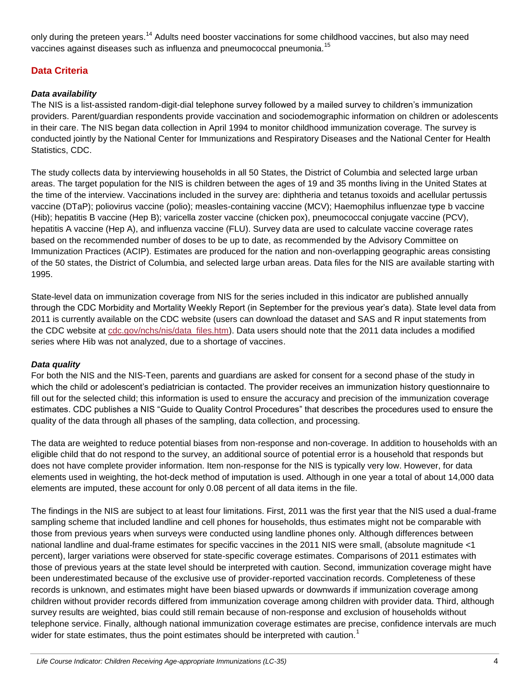only during the preteen years.<sup>14</sup> Adults need booster vaccinations for some childhood vaccines, but also may need vaccines against diseases such as influenza and pneumococcal pneumonia.<sup>15</sup>

# **Data Criteria**

# *Data availability*

The NIS is a list-assisted random-digit-dial telephone survey followed by a mailed survey to children's immunization providers. Parent/guardian respondents provide vaccination and sociodemographic information on children or adolescents in their care. The NIS began data collection in April 1994 to monitor childhood immunization coverage. The survey is conducted jointly by the National Center for Immunizations and Respiratory Diseases and the National Center for Health Statistics, CDC.

The study collects data by interviewing households in all 50 States, the District of Columbia and selected large urban areas. The target population for the NIS is children between the ages of 19 and 35 months living in the United States at the time of the interview. Vaccinations included in the survey are: diphtheria and tetanus toxoids and acellular pertussis vaccine (DTaP); poliovirus vaccine (polio); measles-containing vaccine (MCV); Haemophilus influenzae type b vaccine (Hib); hepatitis B vaccine (Hep B); varicella zoster vaccine (chicken pox), pneumococcal conjugate vaccine (PCV), hepatitis A vaccine (Hep A), and influenza vaccine (FLU). Survey data are used to calculate vaccine coverage rates based on the recommended number of doses to be up to date, as recommended by the Advisory Committee on Immunization Practices (ACIP). Estimates are produced for the nation and non-overlapping geographic areas consisting of the 50 states, the District of Columbia, and selected large urban areas. Data files for the NIS are available starting with 1995.

State-level data on immunization coverage from NIS for the series included in this indicator are published annually through the CDC Morbidity and Mortality Weekly Report (in September for the previous year's data). State level data from 2011 is currently available on the CDC website (users can download the dataset and SAS and R input statements from the CDC website at [cdc.gov/nchs/nis/data\\_files.htm\)](http://www.cdc.gov/nchs/nis/data_files.htm). Data users should note that the 2011 data includes a modified series where Hib was not analyzed, due to a shortage of vaccines.

#### *Data quality*

For both the NIS and the NIS-Teen, parents and guardians are asked for consent for a second phase of the study in which the child or adolescent's pediatrician is contacted. The provider receives an immunization history questionnaire to fill out for the selected child; this information is used to ensure the accuracy and precision of the immunization coverage estimates. CDC publishes a NIS "Guide to Quality Control Procedures" that describes the procedures used to ensure the quality of the data through all phases of the sampling, data collection, and processing.

The data are weighted to reduce potential biases from non-response and non-coverage. In addition to households with an eligible child that do not respond to the survey, an additional source of potential error is a household that responds but does not have complete provider information. Item non-response for the NIS is typically very low. However, for data elements used in weighting, the hot-deck method of imputation is used. Although in one year a total of about 14,000 data elements are imputed, these account for only 0.08 percent of all data items in the file.

<span id="page-3-0"></span>The findings in the NIS are subject to at least four limitations. First, 2011 was the first year that the NIS used a dual-frame sampling scheme that included landline and cell phones for households, thus estimates might not be comparable with those from previous years when surveys were conducted using landline phones only. Although differences between national landline and dual-frame estimates for specific vaccines in the 2011 NIS were small, (absolute magnitude <1 percent), larger variations were observed for state-specific coverage estimates. Comparisons of 2011 estimates with those of previous years at the state level should be interpreted with caution. Second, immunization coverage might have been underestimated because of the exclusive use of provider-reported vaccination records. Completeness of these records is unknown, and estimates might have been biased upwards or downwards if immunization coverage among children without provider records differed from immunization coverage among children with provider data. Third, although survey results are weighted, bias could still remain because of non-response and exclusion of households without telephone service. Finally, although national immunization coverage estimates are precise, confidence intervals are much wider for state estimates, thus the point estimates should be interpreted with caution.<sup>1</sup>